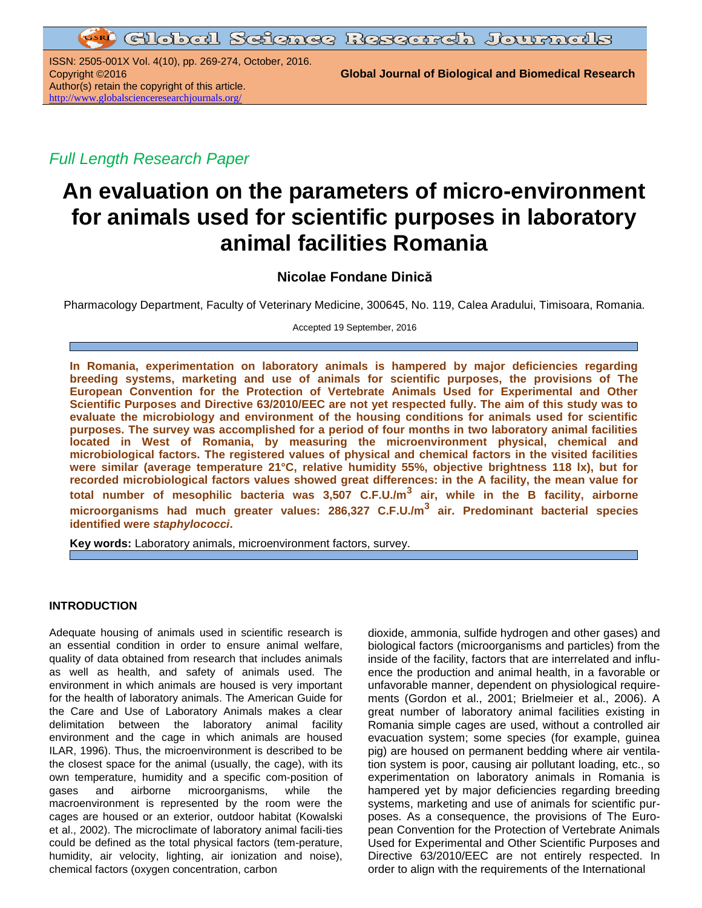ISSN: 2505-001X Vol. 4(10), pp. 269-274, October, 2016. Author(s) retain the copyright of this article. <http://www.globalscienceresearchjournals.org/>

Copyright ©2016 **Global Journal of Biological and Biomedical Research**

*Full Length Research Paper*

# **An evaluation on the parameters of micro-environment for animals used for scientific purposes in laboratory animal facilities Romania**

# **Nicolae Fondane Dinică**

Pharmacology Department, Faculty of Veterinary Medicine, 300645, No. 119, Calea Aradului, Timisoara, Romania.

Accepted 19 September, 2016

**In Romania, experimentation on laboratory animals is hampered by major deficiencies regarding breeding systems, marketing and use of animals for scientific purposes, the provisions of The European Convention for the Protection of Vertebrate Animals Used for Experimental and Other Scientific Purposes and Directive 63/2010/EEC are not yet respected fully. The aim of this study was to evaluate the microbiology and environment of the housing conditions for animals used for scientific purposes. The survey was accomplished for a period of four months in two laboratory animal facilities located in West of Romania, by measuring the microenvironment physical, chemical and microbiological factors. The registered values of physical and chemical factors in the visited facilities were similar (average temperature 21°C, relative humidity 55%, objective brightness 118 lx), but for recorded microbiological factors values showed great differences: in the A facility, the mean value for total number of mesophilic bacteria was 3,507 C.F.U./m<sup>3</sup> air, while in the B facility, airborne microorganisms had much greater values: 286,327 C.F.U./m<sup>3</sup> air. Predominant bacterial species identified were** *staphylococci***.**

**Key words:** Laboratory animals, microenvironment factors, survey.

# **INTRODUCTION**

Adequate housing of animals used in scientific research is an essential condition in order to ensure animal welfare, quality of data obtained from research that includes animals as well as health, and safety of animals used. The environment in which animals are housed is very important for the health of laboratory animals. The American Guide for the Care and Use of Laboratory Animals makes a clear delimitation between the laboratory animal facility environment and the cage in which animals are housed ILAR, 1996). Thus, the microenvironment is described to be the closest space for the animal (usually, the cage), with its own temperature, humidity and a specific com-position of gases and airborne microorganisms, while the macroenvironment is represented by the room were the cages are housed or an exterior, outdoor habitat (Kowalski et al., 2002). The microclimate of laboratory animal facili-ties could be defined as the total physical factors (tem-perature, humidity, air velocity, lighting, air ionization and noise), chemical factors (oxygen concentration, carbon

dioxide, ammonia, sulfide hydrogen and other gases) and biological factors (microorganisms and particles) from the inside of the facility, factors that are interrelated and influence the production and animal health, in a favorable or unfavorable manner, dependent on physiological requirements (Gordon et al., 2001; Brielmeier et al., 2006). A great number of laboratory animal facilities existing in Romania simple cages are used, without a controlled air evacuation system; some species (for example, guinea pig) are housed on permanent bedding where air ventilation system is poor, causing air pollutant loading, etc., so experimentation on laboratory animals in Romania is hampered yet by major deficiencies regarding breeding systems, marketing and use of animals for scientific purposes. As a consequence, the provisions of The European Convention for the Protection of Vertebrate Animals Used for Experimental and Other Scientific Purposes and Directive 63/2010/EEC are not entirely respected. In order to align with the requirements of the International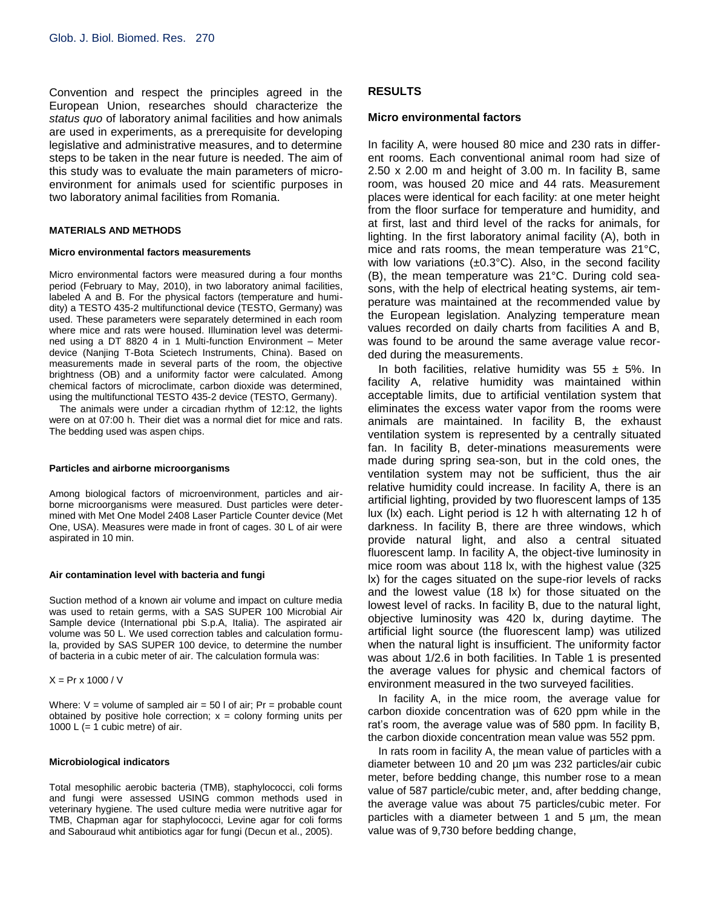Convention and respect the principles agreed in the European Union, researches should characterize the *status quo* of laboratory animal facilities and how animals are used in experiments, as a prerequisite for developing legislative and administrative measures, and to determine steps to be taken in the near future is needed. The aim of this study was to evaluate the main parameters of microenvironment for animals used for scientific purposes in two laboratory animal facilities from Romania.

# **MATERIALS AND METHODS**

# **Micro environmental factors measurements**

Micro environmental factors were measured during a four months period (February to May, 2010), in two laboratory animal facilities, labeled A and B. For the physical factors (temperature and humidity) a TESTO 435-2 multifunctional device (TESTO, Germany) was used. These parameters were separately determined in each room where mice and rats were housed. Illumination level was determined using a DT 8820 4 in 1 Multi-function Environment – Meter device (Nanjing T-Bota Scietech Instruments, China). Based on measurements made in several parts of the room, the objective brightness (OB) and a uniformity factor were calculated. Among chemical factors of microclimate, carbon dioxide was determined, using the multifunctional TESTO 435-2 device (TESTO, Germany).

The animals were under a circadian rhythm of 12:12, the lights were on at 07:00 h. Their diet was a normal diet for mice and rats. The bedding used was aspen chips.

#### **Particles and airborne microorganisms**

Among biological factors of microenvironment, particles and airborne microorganisms were measured. Dust particles were determined with Met One Model 2408 Laser Particle Counter device (Met One, USA). Measures were made in front of cages. 30 L of air were aspirated in 10 min.

#### **Air contamination level with bacteria and fungi**

Suction method of a known air volume and impact on culture media was used to retain germs, with a SAS SUPER 100 Microbial Air Sample device (International pbi S.p.A, Italia). The aspirated air volume was 50 L. We used correction tables and calculation formula, provided by SAS SUPER 100 device, to determine the number of bacteria in a cubic meter of air. The calculation formula was:

 $X = Pr x 1000 / V$ 

Where:  $V =$  volume of sampled air = 50 l of air; Pr = probable count obtained by positive hole correction;  $x =$  colony forming units per 1000 L  $(= 1 \text{ cubic metre})$  of air.

#### **Microbiological indicators**

Total mesophilic aerobic bacteria (TMB), staphylococci, coli forms and fungi were assessed USING common methods used in veterinary hygiene. The used culture media were nutritive agar for TMB, Chapman agar for staphylococci, Levine agar for coli forms and Sabouraud whit antibiotics agar for fungi (Decun et al., 2005).

# **RESULTS**

# **Micro environmental factors**

In facility A, were housed 80 mice and 230 rats in different rooms. Each conventional animal room had size of 2.50 x 2.00 m and height of 3.00 m. In facility B, same room, was housed 20 mice and 44 rats. Measurement places were identical for each facility: at one meter height from the floor surface for temperature and humidity, and at first, last and third level of the racks for animals, for lighting. In the first laboratory animal facility (A), both in mice and rats rooms, the mean temperature was 21°C, with low variations  $(\pm 0.3^{\circ}C)$ . Also, in the second facility (B), the mean temperature was 21°C. During cold seasons, with the help of electrical heating systems, air temperature was maintained at the recommended value by the European legislation. Analyzing temperature mean values recorded on daily charts from facilities A and B, was found to be around the same average value recorded during the measurements.

In both facilities, relative humidity was  $55 \pm 5\%$ . In facility A, relative humidity was maintained within acceptable limits, due to artificial ventilation system that eliminates the excess water vapor from the rooms were animals are maintained. In facility B, the exhaust ventilation system is represented by a centrally situated fan. In facility B, deter-minations measurements were made during spring sea-son, but in the cold ones, the ventilation system may not be sufficient, thus the air relative humidity could increase. In facility A, there is an artificial lighting, provided by two fluorescent lamps of 135 lux (lx) each. Light period is 12 h with alternating 12 h of darkness. In facility B, there are three windows, which provide natural light, and also a central situated fluorescent lamp. In facility A, the object-tive luminosity in mice room was about 118 lx, with the highest value (325 lx) for the cages situated on the supe-rior levels of racks and the lowest value (18 lx) for those situated on the lowest level of racks. In facility B, due to the natural light, objective luminosity was 420 lx, during daytime. The artificial light source (the fluorescent lamp) was utilized when the natural light is insufficient. The uniformity factor was about 1/2.6 in both facilities. In Table 1 is presented the average values for physic and chemical factors of environment measured in the two surveyed facilities.

In facility A, in the mice room, the average value for carbon dioxide concentration was of 620 ppm while in the rat's room, the average value was of 580 ppm. In facility B, the carbon dioxide concentration mean value was 552 ppm.

In rats room in facility A, the mean value of particles with a diameter between 10 and 20 µm was 232 particles/air cubic meter, before bedding change, this number rose to a mean value of 587 particle/cubic meter, and, after bedding change, the average value was about 75 particles/cubic meter. For particles with a diameter between 1 and 5 µm, the mean value was of 9,730 before bedding change,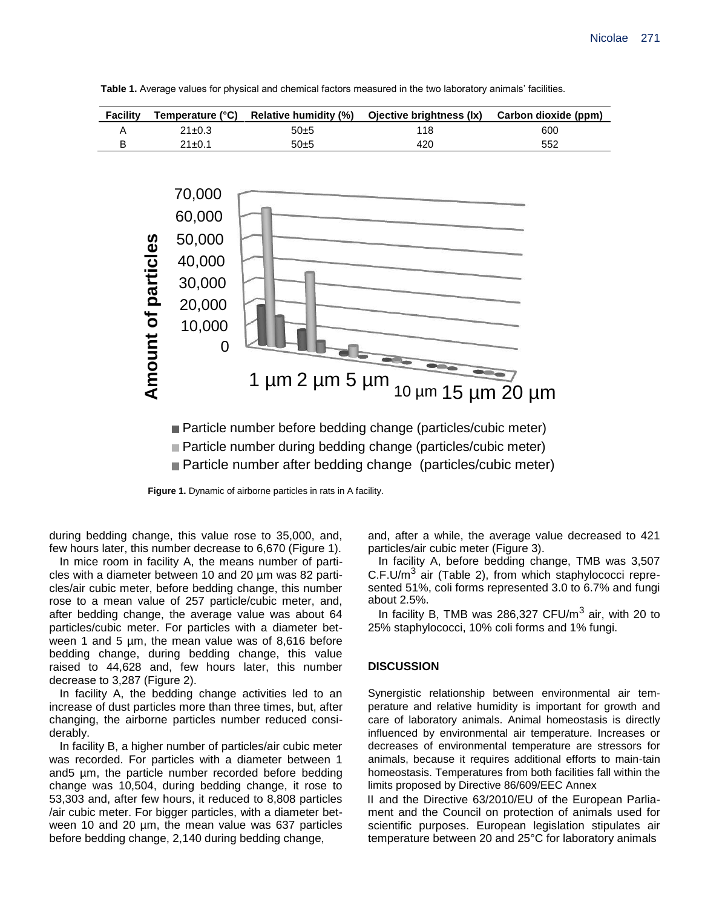**Table 1.** Average values for physical and chemical factors measured in the two laboratory animals' facilities.



■ Particle number during bedding change (particles/cubic meter)

■ Particle number after bedding change (particles/cubic meter)

**Figure 1.** Dynamic of airborne particles in rats in A facility.

during bedding change, this value rose to 35,000, and, few hours later, this number decrease to 6,670 (Figure 1).

In mice room in facility A, the means number of particles with a diameter between 10 and 20 µm was 82 particles/air cubic meter, before bedding change, this number rose to a mean value of 257 particle/cubic meter, and, after bedding change, the average value was about 64 particles/cubic meter. For particles with a diameter between 1 and 5 µm, the mean value was of 8,616 before bedding change, during bedding change, this value raised to 44,628 and, few hours later, this number decrease to 3,287 (Figure 2).

In facility A, the bedding change activities led to an increase of dust particles more than three times, but, after changing, the airborne particles number reduced considerably.

In facility B, a higher number of particles/air cubic meter was recorded. For particles with a diameter between 1 and5 µm, the particle number recorded before bedding change was 10,504, during bedding change, it rose to 53,303 and, after few hours, it reduced to 8,808 particles /air cubic meter. For bigger particles, with a diameter between 10 and 20 µm, the mean value was 637 particles before bedding change, 2,140 during bedding change,

and, after a while, the average value decreased to 421 particles/air cubic meter (Figure 3).

In facility A, before bedding change, TMB was 3,507 C.F.U/m<sup>3</sup> air (Table 2), from which staphylococci represented 51%, coli forms represented 3.0 to 6.7% and fungi about 2.5%.

In facility B, TMB was 286,327 CFU/m<sup>3</sup> air, with 20 to 25% staphylococci, 10% coli forms and 1% fungi.

## **DISCUSSION**

Synergistic relationship between environmental air temperature and relative humidity is important for growth and care of laboratory animals. Animal homeostasis is directly influenced by environmental air temperature. Increases or decreases of environmental temperature are stressors for animals, because it requires additional efforts to main-tain homeostasis. Temperatures from both facilities fall within the limits proposed by Directive 86/609/EEC Annex

II and the Directive 63/2010/EU of the European Parliament and the Council on protection of animals used for scientific purposes. European legislation stipulates air temperature between 20 and 25°C for laboratory animals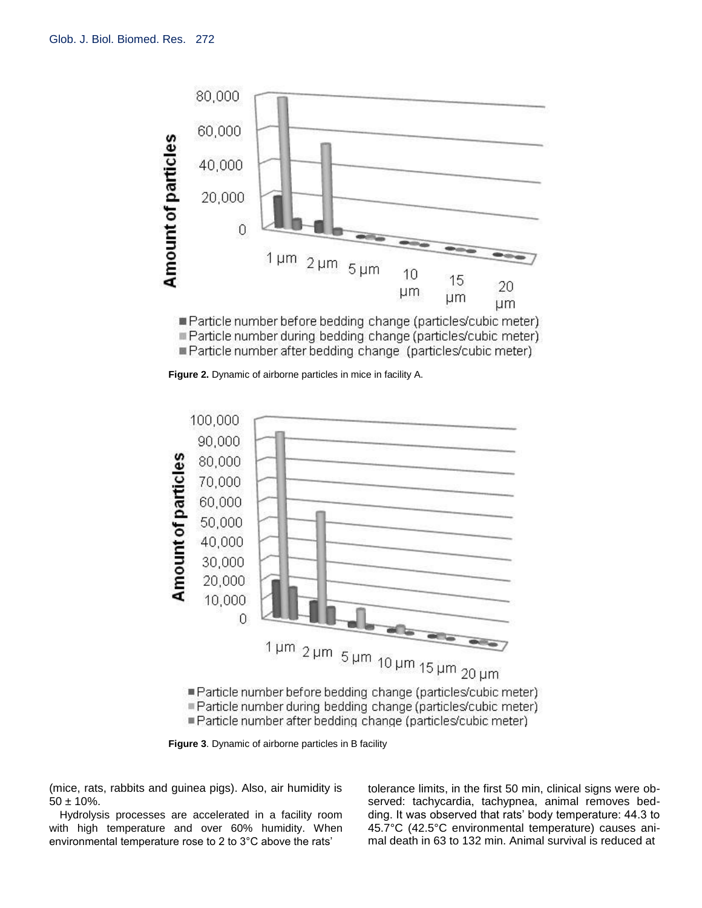

Particle number before bedding change (particles/cubic meter). Particle number during bedding change (particles/cubic meter) ■ Particle number after bedding change (particles/cubic meter)

**Figure 2.** Dynamic of airborne particles in mice in facility A.



**Figure 3**. Dynamic of airborne particles in B facility

(mice, rats, rabbits and guinea pigs). Also, air humidity is  $50 \pm 10\%$ .

Hydrolysis processes are accelerated in a facility room with high temperature and over 60% humidity. When environmental temperature rose to 2 to 3°C above the rats'

tolerance limits, in the first 50 min, clinical signs were observed: tachycardia, tachypnea, animal removes bedding. It was observed that rats' body temperature: 44.3 to 45.7°C (42.5°C environmental temperature) causes animal death in 63 to 132 min. Animal survival is reduced at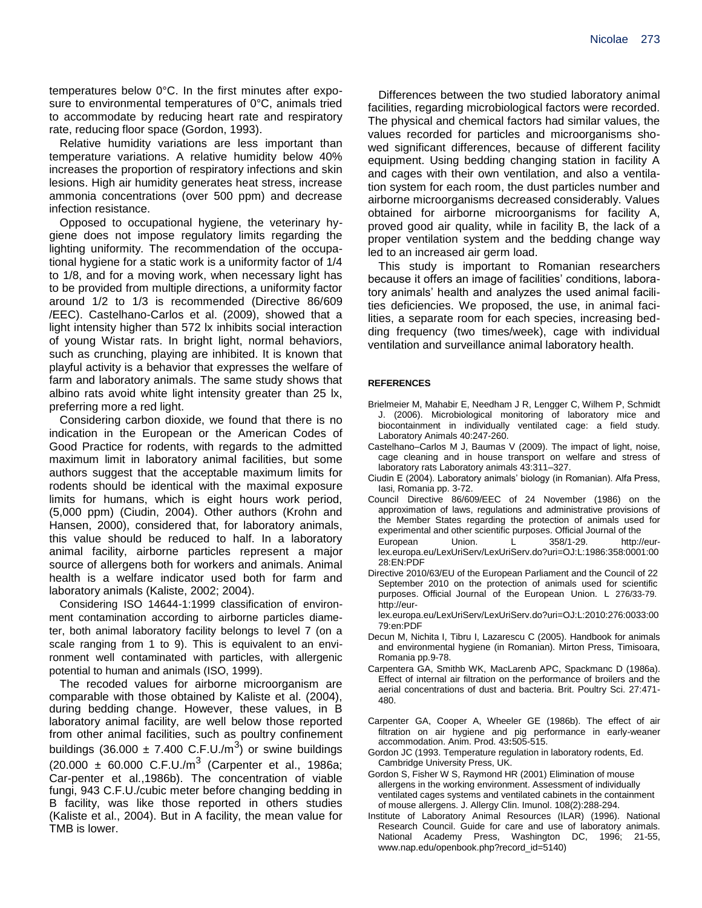temperatures below 0°C. In the first minutes after exposure to environmental temperatures of 0°C, animals tried to accommodate by reducing heart rate and respiratory rate, reducing floor space (Gordon, 1993).

Relative humidity variations are less important than temperature variations. A relative humidity below 40% increases the proportion of respiratory infections and skin lesions. High air humidity generates heat stress, increase ammonia concentrations (over 500 ppm) and decrease infection resistance.

Opposed to occupational hygiene, the veterinary hygiene does not impose regulatory limits regarding the lighting uniformity. The recommendation of the occupational hygiene for a static work is a uniformity factor of 1/4 to 1/8, and for a moving work, when necessary light has to be provided from multiple directions, a uniformity factor around 1/2 to 1/3 is recommended (Directive 86/609 /EEC). Castelhano-Carlos et al. (2009), showed that a light intensity higher than 572 lx inhibits social interaction of young Wistar rats. In bright light, normal behaviors, such as crunching, playing are inhibited. It is known that playful activity is a behavior that expresses the welfare of farm and laboratory animals. The same study shows that albino rats avoid white light intensity greater than 25 lx, preferring more a red light.

Considering carbon dioxide, we found that there is no indication in the European or the American Codes of Good Practice for rodents, with regards to the admitted maximum limit in laboratory animal facilities, but some authors suggest that the acceptable maximum limits for rodents should be identical with the maximal exposure limits for humans, which is eight hours work period, (5,000 ppm) (Ciudin, 2004). Other authors (Krohn and Hansen, 2000), considered that, for laboratory animals, this value should be reduced to half. In a laboratory animal facility, airborne particles represent a major source of allergens both for workers and animals. Animal health is a welfare indicator used both for farm and laboratory animals (Kaliste, 2002; 2004).

Considering ISO 14644-1:1999 classification of environment contamination according to airborne particles diameter, both animal laboratory facility belongs to level 7 (on a scale ranging from 1 to 9). This is equivalent to an environment well contaminated with particles, with allergenic potential to human and animals (ISO, 1999).

The recoded values for airborne microorganism are comparable with those obtained by Kaliste et al. (2004), during bedding change. However, these values, in B laboratory animal facility, are well below those reported from other animal facilities, such as poultry confinement buildings (36.000  $\pm$  7.400 C.F.U./m<sup>3</sup>) or swine buildings  $(20.000 \pm 60.000 \text{ C.F.U./m}^3$  (Carpenter et al., 1986a; Car-penter et al.,1986b). The concentration of viable fungi, 943 C.F.U./cubic meter before changing bedding in B facility, was like those reported in others studies (Kaliste et al., 2004). But in A facility, the mean value for TMB is lower.

Differences between the two studied laboratory animal facilities, regarding microbiological factors were recorded. The physical and chemical factors had similar values, the values recorded for particles and microorganisms showed significant differences, because of different facility equipment. Using bedding changing station in facility A and cages with their own ventilation, and also a ventilation system for each room, the dust particles number and airborne microorganisms decreased considerably. Values obtained for airborne microorganisms for facility A, proved good air quality, while in facility B, the lack of a proper ventilation system and the bedding change way led to an increased air germ load.

This study is important to Romanian researchers because it offers an image of facilities' conditions, laboratory animals' health and analyzes the used animal facilities deficiencies. We proposed, the use, in animal facilities, a separate room for each species, increasing bedding frequency (two times/week), cage with individual ventilation and surveillance animal laboratory health.

## **REFERENCES**

- Brielmeier M, Mahabir E, Needham J R, Lengger C, Wilhem P, Schmidt J. (2006). Microbiological monitoring of laboratory mice and biocontainment in individually ventilated cage: a field study*.* Laboratory Animals 40:247-260.
- Castelhano–Carlos M J, Baumas V (2009). The impact of light, noise, cage cleaning and in house transport on welfare and stress of laboratory rats Laboratory animals 43:311–327.
- Ciudin E (2004). Laboratory animals' biology (in Romanian). Alfa Press, Iasi, Romania pp. 3-72.
- Council Directive 86/609/EEC of 24 November (1986) on the approximation of laws, regulations and administrative provisions of the Member States regarding the protection of animals used for experimental and other scientific purposes. Official Journal of the European Union. L 358/1-29. http://eurlex.europa.eu/LexUriServ/LexUriServ.do?uri=OJ:L:1986:358:0001:00 28:EN:PDF
- Directive 2010/63/EU of the European Parliament and the Council of 22 September 2010 on the protection of animals used for scientific purposes. Official Journal of the European Union. L 276/33-79. http://eur-

lex.europa.eu/LexUriServ/LexUriServ.do?uri=OJ:L:2010:276:0033:00 79:en:PDF

- Decun M, Nichita I, Tibru I, Lazarescu C (2005). Handbook for animals and environmental hygiene (in Romanian). Mirton Press, Timisoara, Romania pp.9-78.
- Carpentera GA, Smithb WK, MacLarenb APC, Spackmanc D (1986a). Effect of internal air filtration on the performance of broilers and the aerial concentrations of dust and bacteria. Brit. Poultry Sci. 27:471- 480.
- Carpenter GA, Cooper A, Wheeler GE (1986b). The effect of air filtration on air hygiene and pig performance in early-weaner accommodation. Anim. Prod. 43**:**505-515.
- Gordon JC (1993. Temperature regulation in laboratory rodents, Ed. Cambridge University Press, UK.
- Gordon S, Fisher W S, Raymond HR (2001) Elimination of mouse allergens in the working environment. Assessment of individually ventilated cages systems and ventilated cabinets in the containment of mouse allergens. J. Allergy Clin. Imunol. 108(2):288-294.
- Institute of Laboratory Animal Resources (ILAR) (1996). National Research Council. Guide for care and use of laboratory animals. National Academy Press, Washington DC, 1996; 21-55, www.nap.edu/openbook.php?record\_id=5140)